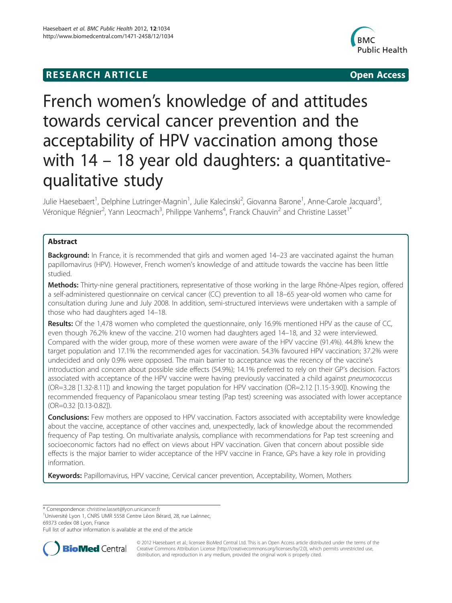## **RESEARCH ARTICLE CONSUMING A RESEARCH ARTICLE**



# French women's knowledge of and attitudes towards cervical cancer prevention and the acceptability of HPV vaccination among those with 14 – 18 year old daughters: a quantitativequalitative study

Julie Haesebaert<sup>1</sup>, Delphine Lutringer-Magnin<sup>1</sup>, Julie Kalecinski<sup>2</sup>, Giovanna Barone<sup>1</sup>, Anne-Carole Jacquard<sup>3</sup> , Véronique Régnier<sup>2</sup>, Yann Leocmach<sup>3</sup>, Philippe Vanhems<sup>4</sup>, Franck Chauvin<sup>2</sup> and Christine Lasset<sup>1\*</sup>

## Abstract

Background: In France, it is recommended that girls and women aged 14–23 are vaccinated against the human papillomavirus (HPV). However, French women's knowledge of and attitude towards the vaccine has been little studied.

Methods: Thirty-nine general practitioners, representative of those working in the large Rhône-Alpes region, offered a self-administered questionnaire on cervical cancer (CC) prevention to all 18–65 year-old women who came for consultation during June and July 2008. In addition, semi-structured interviews were undertaken with a sample of those who had daughters aged 14–18.

Results: Of the 1,478 women who completed the questionnaire, only 16.9% mentioned HPV as the cause of CC, even though 76.2% knew of the vaccine. 210 women had daughters aged 14–18, and 32 were interviewed. Compared with the wider group, more of these women were aware of the HPV vaccine (91.4%). 44.8% knew the target population and 17.1% the recommended ages for vaccination. 54.3% favoured HPV vaccination; 37.2% were undecided and only 0.9% were opposed. The main barrier to acceptance was the recency of the vaccine's introduction and concern about possible side effects (54.9%); 14.1% preferred to rely on their GP's decision. Factors associated with acceptance of the HPV vaccine were having previously vaccinated a child against pneumococcus (OR=3.28 [1.32-8.11]) and knowing the target population for HPV vaccination (OR=2.12 [1.15-3.90]). Knowing the recommended frequency of Papanicolaou smear testing (Pap test) screening was associated with lower acceptance (OR=0.32 [0.13-0.82]).

**Conclusions:** Few mothers are opposed to HPV vaccination. Factors associated with acceptability were knowledge about the vaccine, acceptance of other vaccines and, unexpectedly, lack of knowledge about the recommended frequency of Pap testing. On multivariate analysis, compliance with recommendations for Pap test screening and socioeconomic factors had no effect on views about HPV vaccination. Given that concern about possible side effects is the major barrier to wider acceptance of the HPV vaccine in France, GPs have a key role in providing information.

**Keywords:** Papillomavirus, HPV vaccine, Cervical cancer prevention, Acceptability, Women, Mothers

\* Correspondence: [christine.lasset@lyon.unicancer.fr](mailto:christine.lasset@lyon.unicancer.fr) <sup>1</sup>

<sup>1</sup>Université Lyon 1, CNRS UMR 5558 Centre Léon Bérard, 28, rue Laënnec, 69373 cedex 08 Lyon, France

Full list of author information is available at the end of the article



© 2012 Haesebaert et al.; licensee BioMed Central Ltd. This is an Open Access article distributed under the terms of the Creative Commons Attribution License (<http://creativecommons.org/licenses/by/2.0>), which permits unrestricted use, distribution, and reproduction in any medium, provided the original work is properly cited.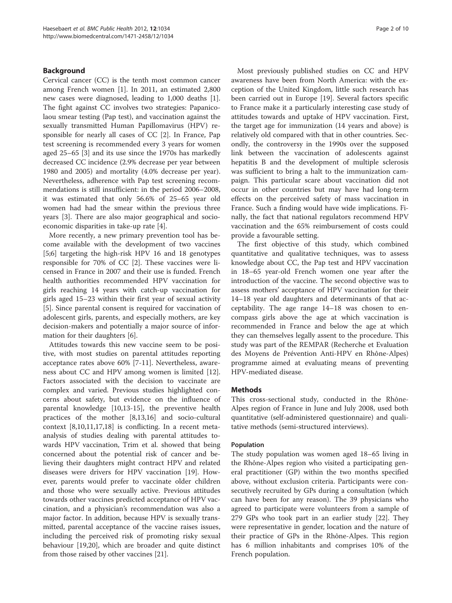## Background

Cervical cancer (CC) is the tenth most common cancer among French women [\[1](#page-8-0)]. In 2011, an estimated 2,800 new cases were diagnosed, leading to 1,000 deaths [\[1](#page-8-0)]. The fight against CC involves two strategies: Papanicolaou smear testing (Pap test), and vaccination against the sexually transmitted Human Papillomavirus (HPV) responsible for nearly all cases of CC [[2\]](#page-8-0). In France, Pap test screening is recommended every 3 years for women aged 25–65 [[3](#page-8-0)] and its use since the 1970s has markedly decreased CC incidence (2.9% decrease per year between 1980 and 2005) and mortality (4.0% decrease per year). Nevertheless, adherence with Pap test screening recommendations is still insufficient: in the period 2006–2008, it was estimated that only 56.6% of 25–65 year old women had had the smear within the previous three years [[3](#page-8-0)]. There are also major geographical and socioeconomic disparities in take-up rate [\[4](#page-9-0)].

More recently, a new primary prevention tool has become available with the development of two vaccines [5;6] targeting the high-risk HPV 16 and 18 genotypes responsible for 70% of CC [[2\]](#page-8-0). These vaccines were licensed in France in 2007 and their use is funded. French health authorities recommended HPV vaccination for girls reaching 14 years with catch-up vaccination for girls aged 15–23 within their first year of sexual activity [[5\]](#page-9-0). Since parental consent is required for vaccination of adolescent girls, parents, and especially mothers, are key decision-makers and potentially a major source of information for their daughters [\[6](#page-9-0)].

Attitudes towards this new vaccine seem to be positive, with most studies on parental attitudes reporting acceptance rates above 60% [\[7](#page-9-0)-[11\]](#page-9-0). Nevertheless, awareness about CC and HPV among women is limited [\[12](#page-9-0)]. Factors associated with the decision to vaccinate are complex and varied. Previous studies highlighted concerns about safety, but evidence on the influence of parental knowledge [[10,13-15](#page-9-0)], the preventive health practices of the mother [[8,13,16\]](#page-9-0) and socio-cultural context [[8,10,11](#page-9-0),[17](#page-9-0),[18](#page-9-0)] is conflicting. In a recent metaanalysis of studies dealing with parental attitudes towards HPV vaccination, Trim et al. showed that being concerned about the potential risk of cancer and believing their daughters might contract HPV and related diseases were drivers for HPV vaccination [\[19](#page-9-0)]. However, parents would prefer to vaccinate older children and those who were sexually active. Previous attitudes towards other vaccines predicted acceptance of HPV vaccination, and a physician's recommendation was also a major factor. In addition, because HPV is sexually transmitted, parental acceptance of the vaccine raises issues, including the perceived risk of promoting risky sexual behaviour [\[19,20\]](#page-9-0), which are broader and quite distinct from those raised by other vaccines [[21\]](#page-9-0).

Most previously published studies on CC and HPV awareness have been from North America: with the exception of the United Kingdom, little such research has been carried out in Europe [\[19](#page-9-0)]. Several factors specific to France make it a particularly interesting case study of attitudes towards and uptake of HPV vaccination. First, the target age for immunization (14 years and above) is relatively old compared with that in other countries. Secondly, the controversy in the 1990s over the supposed link between the vaccination of adolescents against hepatitis B and the development of multiple sclerosis was sufficient to bring a halt to the immunization campaign. This particular scare about vaccination did not occur in other countries but may have had long-term effects on the perceived safety of mass vaccination in France. Such a finding would have wide implications. Finally, the fact that national regulators recommend HPV vaccination and the 65% reimbursement of costs could provide a favourable setting.

The first objective of this study, which combined quantitative and qualitative techniques, was to assess knowledge about CC, the Pap test and HPV vaccination in 18–65 year-old French women one year after the introduction of the vaccine. The second objective was to assess mothers' acceptance of HPV vaccination for their 14–18 year old daughters and determinants of that acceptability. The age range 14–18 was chosen to encompass girls above the age at which vaccination is recommended in France and below the age at which they can themselves legally assent to the procedure. This study was part of the REMPAR (Recherche et Evaluation des Moyens de Prévention Anti-HPV en Rhône-Alpes) programme aimed at evaluating means of preventing HPV-mediated disease.

## Methods

This cross-sectional study, conducted in the Rhône-Alpes region of France in June and July 2008, used both quantitative (self-administered questionnaire) and qualitative methods (semi-structured interviews).

## Population

The study population was women aged 18–65 living in the Rhône-Alpes region who visited a participating general practitioner (GP) within the two months specified above, without exclusion criteria. Participants were consecutively recruited by GPs during a consultation (which can have been for any reason). The 39 physicians who agreed to participate were volunteers from a sample of 279 GPs who took part in an earlier study [\[22](#page-9-0)]. They were representative in gender, location and the nature of their practice of GPs in the Rhône-Alpes. This region has 6 million inhabitants and comprises 10% of the French population.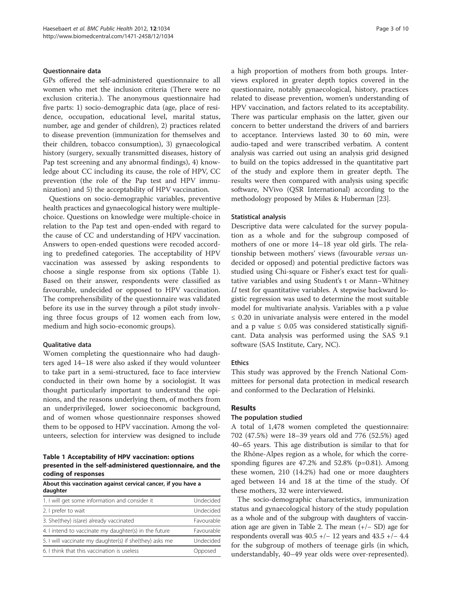#### Questionnaire data

GPs offered the self-administered questionnaire to all women who met the inclusion criteria (There were no exclusion criteria.). The anonymous questionnaire had five parts: 1) socio-demographic data (age, place of residence, occupation, educational level, marital status, number, age and gender of children), 2) practices related to disease prevention (immunization for themselves and their children, tobacco consumption), 3) gynaecological history (surgery, sexually transmitted diseases, history of Pap test screening and any abnormal findings), 4) knowledge about CC including its cause, the role of HPV, CC prevention (the role of the Pap test and HPV immunization) and 5) the acceptability of HPV vaccination.

Questions on socio-demographic variables, preventive health practices and gynaecological history were multiplechoice. Questions on knowledge were multiple-choice in relation to the Pap test and open-ended with regard to the cause of CC and understanding of HPV vaccination. Answers to open-ended questions were recoded according to predefined categories. The acceptability of HPV vaccination was assessed by asking respondents to choose a single response from six options (Table 1). Based on their answer, respondents were classified as favourable, undecided or opposed to HPV vaccination. The comprehensibility of the questionnaire was validated before its use in the survey through a pilot study involving three focus groups of 12 women each from low, medium and high socio-economic groups).

#### Qualitative data

Women completing the questionnaire who had daughters aged 14–18 were also asked if they would volunteer to take part in a semi-structured, face to face interview conducted in their own home by a sociologist. It was thought particularly important to understand the opinions, and the reasons underlying them, of mothers from an underprivileged, lower socioeconomic background, and of women whose questionnaire responses showed them to be opposed to HPV vaccination. Among the volunteers, selection for interview was designed to include

Table 1 Acceptability of HPV vaccination: options presented in the self-administered questionnaire, and the coding of responses

About this vaccination against cervical cancer, if you have a daughter

| 1. I will get some information and consider it          | Undecided  |  |  |
|---------------------------------------------------------|------------|--|--|
| 2. I prefer to wait                                     | Undecided  |  |  |
| 3. She(they) is(are) already vaccinated                 | Favourable |  |  |
| 4. I intend to vaccinate my daughter(s) in the future   | Favourable |  |  |
| 5. I will vaccinate my daughter(s) if she(they) asks me | Undecided  |  |  |
| 6. I think that this vaccination is useless             | Opposed    |  |  |

a high proportion of mothers from both groups. Interviews explored in greater depth topics covered in the questionnaire, notably gynaecological, history, practices related to disease prevention, women's understanding of HPV vaccination, and factors related to its acceptability. There was particular emphasis on the latter, given our concern to better understand the drivers of and barriers to acceptance. Interviews lasted 30 to 60 min, were audio-taped and were transcribed verbatim. A content analysis was carried out using an analysis grid designed to build on the topics addressed in the quantitative part of the study and explore them in greater depth. The results were then compared with analysis using specific software, NVivo (QSR International) according to the methodology proposed by Miles & Huberman [[23](#page-9-0)].

#### Statistical analysis

Descriptive data were calculated for the survey population as a whole and for the subgroup composed of mothers of one or more 14–18 year old girls. The relationship between mothers' views (favourable versus undecided or opposed) and potential predictive factors was studied using Chi-square or Fisher's exact test for qualitative variables and using Student's t or Mann–Whitney  $U$  test for quantitative variables. A stepwise backward logistic regression was used to determine the most suitable model for multivariate analysis. Variables with a p value ≤ 0.20 in univariate analysis were entered in the model and a p value  $\leq 0.05$  was considered statistically significant. Data analysis was performed using the SAS 9.1 software (SAS Institute, Cary, NC).

## Ethics

This study was approved by the French National Committees for personal data protection in medical research and conformed to the Declaration of Helsinki.

## Results

## The population studied

A total of 1,478 women completed the questionnaire: 702 (47.5%) were 18–39 years old and 776 (52.5%) aged 40–65 years. This age distribution is similar to that for the Rhône-Alpes region as a whole, for which the corresponding figures are 47.2% and 52.8% (p=0.81). Among these women, 210 (14.2%) had one or more daughters aged between 14 and 18 at the time of the study. Of these mothers, 32 were interviewed.

The socio-demographic characteristics, immunization status and gynaecological history of the study population as a whole and of the subgroup with daughters of vaccination age are given in Table [2](#page-3-0). The mean (+/− SD) age for respondents overall was  $40.5$  +/− 12 years and  $43.5$  +/−  $4.4$ for the subgroup of mothers of teenage girls (in which, understandably, 40–49 year olds were over-represented).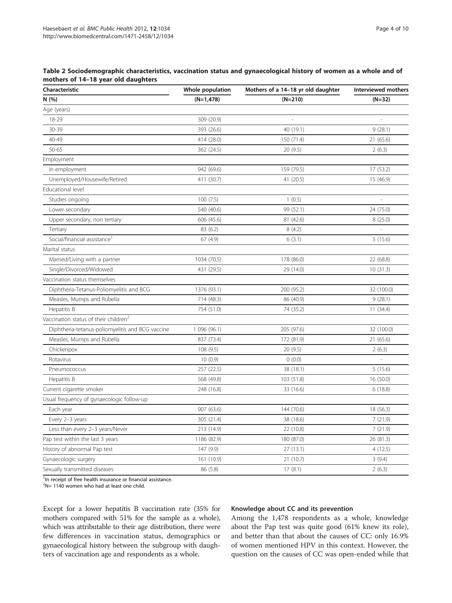<span id="page-3-0"></span>

| Characteristic                                    | Whole population | Mothers of a 14-18 yr old daughter | Interviewed mothers |  |
|---------------------------------------------------|------------------|------------------------------------|---------------------|--|
| N (%)                                             | $(N=1,478)$      | $(N=210)$                          | $(N=32)$            |  |
| Age (years)                                       |                  |                                    |                     |  |
| 18-29                                             | 309 (20.9)       |                                    |                     |  |
| 30-39                                             | 393 (26.6)       | 40 (19.1)                          | 9(28.1)             |  |
| 40-49                                             | 414 (28.0)       | 150 (71.4)                         | 21 (65.6)           |  |
| 50-65                                             | 362 (24.5)       | 20(9.5)                            | 2(6.3)              |  |
| Employment                                        |                  |                                    |                     |  |
| In employment                                     | 942 (69.6)       | 159 (79.5)                         | 17 (53.2)           |  |
| Unemployed/Housewife/Retired                      | 411 (30.7)       | 41 (20.5)                          | 15 (46.9)           |  |
| Educational level                                 |                  |                                    |                     |  |
| Studies ongoing                                   | 100(7.5)         | 1(0.5)                             | $\frac{1}{2}$       |  |
| Lower secondary                                   | 540 (40.6)       | 99 (52.1)                          | 24 (75.0)           |  |
| Upper secondary, non tertiary                     | 606 (45.6)       | 81 (42.6)                          | 8(25.0)             |  |
| Tertiary                                          | 83 (6.2)         | 8(4.2)                             |                     |  |
| Social/financial assistance <sup>1</sup>          | 67 (4.9)         | 6(3.1)                             | 5(15.6)             |  |
| Marital status                                    |                  |                                    |                     |  |
| Married/Living with a partner                     | 1034 (70.5)      | 178 (86.0)                         | 22 (68.8)           |  |
| Single/Divorced/Widowed                           | 431 (29.5)       | 29 (14.0)                          | 10(31.3)            |  |
| Vaccination status themselves                     |                  |                                    |                     |  |
| Diphtheria-Tetanus-Poliomyelitis and BCG          | 1376 (93.1)      | 200 (95.2)                         | 32 (100.0)          |  |
| Measles, Mumps and Rubella                        | 714 (48.3)       | 86 (40.9)                          | 9(28.1)             |  |
| Hepatitis B                                       | 754 (51.0)       | 74 (35.2)                          | 11(34.4)            |  |
| Vaccination status of their children <sup>2</sup> |                  |                                    |                     |  |
| Diphtheria-tetanus-poliomyelitis and BCG vaccine  | 1096(96.1)       | 205 (97.6)                         | 32 (100.0)          |  |
| Measles, Mumps and Rubella                        | 837 (73.4)       | 172 (81.9)                         | 21 (65.6)           |  |
| Chickenpox                                        | 108(9.5)         | 20(9.5)                            | 2(6.3)              |  |
| Rotavirus                                         | 10(0.9)          | 0(0.0)                             |                     |  |
| Pneumococcus                                      | 257 (22.5)       | 38 (18.1)                          | 5(15.6)             |  |
| Hepatitis B                                       | 568 (49.8)       | 103 (51.8)                         | 16 (50.0)           |  |
| Current cigarette smoker                          | 248 (16.8)       | 33 (16.6)                          | 6(18.8)             |  |
| Usual frequency of gynaecologic follow-up         |                  |                                    |                     |  |
| Each year                                         | 907 (63.6)       | 144 (70.6)                         | 18 (56.3)           |  |
| Every 2-3 years                                   | 305 (21.4)       | 38 (18.6)                          | 7(21.9)             |  |
| Less than every 2-3 years/Never                   | 213 (14.9)       | 22 (10.8)                          | 7(21.9)             |  |
| Pap test within the last 3 years                  | 1186 (82.9)      | 180 (87.0)                         | 26 (81.3)           |  |
| History of abnormal Pap test                      | 147 (9.9)        | 27 (13.1)                          | 4(12.5)             |  |
| Gynaecologic surgery                              | 161 (10.9)       | 21 (10.7)                          | 3(9.4)              |  |
| Sexually transmitted diseases                     | 86 (5.8)         | 17(8.1)                            | 2(6.3)              |  |

<sup>1</sup>In receipt of free health insurance or financial assistance.

 $2N = 1140$  women who had at least one child.

Except for a lower hepatitis B vaccination rate (35% for mothers compared with 51% for the sample as a whole), which was attributable to their age distribution, there were few differences in vaccination status, demographics or gynaecological history between the subgroup with daughters of vaccination age and respondents as a whole.

## Knowledge about CC and its prevention

Among the 1,478 respondents as a whole, knowledge about the Pap test was quite good (61% knew its role), and better than that about the causes of CC: only 16.9% of women mentioned HPV in this context. However, the question on the causes of CC was open-ended while that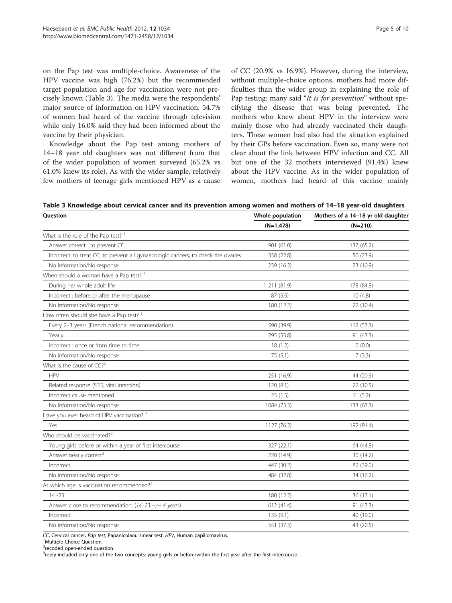on the Pap test was multiple-choice. Awareness of the HPV vaccine was high (76.2%) but the recommended target population and age for vaccination were not precisely known (Table 3). The media were the respondents' major source of information on HPV vaccination: 54.7% of women had heard of the vaccine through television while only 16.0% said they had been informed about the vaccine by their physician.

Knowledge about the Pap test among mothers of 14–18 year old daughters was not different from that of the wider population of women surveyed (65.2% vs 61.0% knew its role). As with the wider sample, relatively few mothers of teenage girls mentioned HPV as a cause of CC (20.9% vs 16.9%). However, during the interview, without multiple-choice options, mothers had more difficulties than the wider group in explaining the role of Pap testing: many said "It is for prevention" without specifying the disease that was being prevented. The mothers who knew about HPV in the interview were mainly those who had already vaccinated their daughters. These women had also had the situation explained by their GPs before vaccination. Even so, many were not clear about the link between HPV infection and CC. All but one of the 32 mothers interviewed (91.4%) knew about the HPV vaccine. As in the wider population of women, mothers had heard of this vaccine mainly

Table 3 Knowledge about cervical cancer and its prevention among women and mothers of 14–18 year-old daughters

| Question                                                                          | Whole population | Mothers of a 14-18 yr old daughter<br>$(N=210)$ |  |  |
|-----------------------------------------------------------------------------------|------------------|-------------------------------------------------|--|--|
|                                                                                   | $(N=1,478)$      |                                                 |  |  |
| What is the role of the Pap test? <sup>1</sup>                                    |                  |                                                 |  |  |
| Answer correct : to prevent CC                                                    | 901 (61.0)       | 137 (65.2)                                      |  |  |
| Incorrect: to treat CC, to prevent all gynaecologic cancers, to check the ovaries | 338 (22.8)       | 50 (23.9)                                       |  |  |
| No information/No response                                                        | 239 (16.2)       | 23 (10.9)                                       |  |  |
| When should a woman have a Pap test? <sup>1</sup>                                 |                  |                                                 |  |  |
| During her whole adult life                                                       | 1 211 (81.9)     | 178 (84.8)                                      |  |  |
| Incorrect : before or after the menopause                                         | 87 (5.9)         | 10(4.8)                                         |  |  |
| No information/No response                                                        | 180 (12.2)       | 22 (10.4)                                       |  |  |
| How often should she have a Pap test? <sup>1</sup>                                |                  |                                                 |  |  |
| Every 2-3 years (French national recommendation)                                  | 590 (39.9)       | 112 (53.3)                                      |  |  |
| Yearly                                                                            | 795 (53.8)       | 91 (43.3)                                       |  |  |
| Incorrect : once or from time to time                                             | 18(1.2)          | 0(0.0)                                          |  |  |
| No information/No response                                                        | 75(5.1)          | 7(3.3)                                          |  |  |
| What is the cause of $CC2$                                                        |                  |                                                 |  |  |
| <b>HPV</b>                                                                        | 251 (16.9)       | 44 (20.9)                                       |  |  |
| Related response (STD, viral infection)                                           | 120(8.1)         | 22 (10.5)                                       |  |  |
| Incorrect cause mentioned                                                         | 23(1.5)          | 11(5.2)                                         |  |  |
| No information/No response                                                        | 1084 (73.3)      | 133 (63.3)                                      |  |  |
| Have you ever heard of HPV vaccination? <sup>1</sup>                              |                  |                                                 |  |  |
| Yes                                                                               | 1127 (76.2)      | 192 (91.4)                                      |  |  |
| Who should be vaccinated? $2^2$                                                   |                  |                                                 |  |  |
| Young girls before or within a year of first intercourse                          | 327 (22.1)       | 64 (44.8)                                       |  |  |
| Answer nearly correct <sup>3</sup>                                                | 220 (14.9)       | 30 (14.2)                                       |  |  |
| Incorrect                                                                         | 447 (30.2)       | 82 (39.0)                                       |  |  |
| No information/No response                                                        | 484 (32.8)       | 34 (16.2)                                       |  |  |
| At which age is vaccination recommended? <sup>2</sup>                             |                  |                                                 |  |  |
| $14 - 23$                                                                         | 180 (12.2)       | 36 (17.1)                                       |  |  |
| Answer close to recommendation: $(14-23 + -4$ years)                              | 612 (41.4)       | 91 (43.3)                                       |  |  |
| Incorrect                                                                         | 135(9.1)         | 40 (19.0)                                       |  |  |
| No information/No response                                                        | 551 (37.3)       | 43 (20.5)                                       |  |  |

CC, Cervical cancer, Pap test, Papanicolaou smear test, HPV, Human papillomavirus.

<sup>1</sup> Multiple Choice Question

<sup>2</sup>recoded open-ended question.

<sup>3</sup>reply included only one of the two concepts: young girls or before/within the first year after the first intercourse.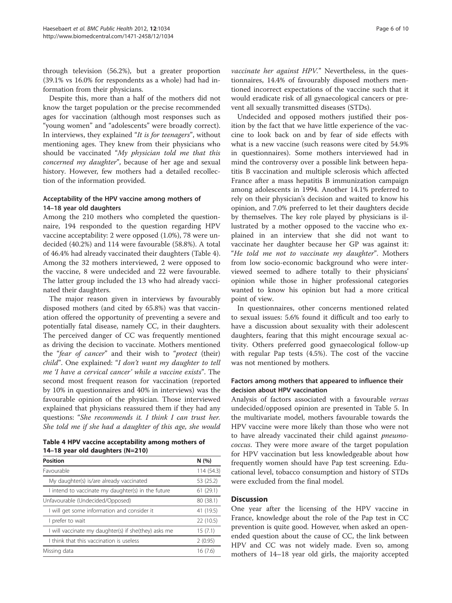through television (56.2%), but a greater proportion (39.1% vs 16.0% for respondents as a whole) had had information from their physicians.

Despite this, more than a half of the mothers did not know the target population or the precise recommended ages for vaccination (although most responses such as "young women" and "adolescents" were broadly correct). In interviews, they explained "It is for teenagers", without mentioning ages. They knew from their physicians who should be vaccinated "My physician told me that this concerned my daughter", because of her age and sexual history. However, few mothers had a detailed recollection of the information provided.

## Acceptability of the HPV vaccine among mothers of 14–18 year old daughters

Among the 210 mothers who completed the questionnaire, 194 responded to the question regarding HPV vaccine acceptability: 2 were opposed (1.0%), 78 were undecided (40.2%) and 114 were favourable (58.8%). A total of 46.4% had already vaccinated their daughters (Table 4). Among the 32 mothers interviewed, 2 were opposed to the vaccine, 8 were undecided and 22 were favourable. The latter group included the 13 who had already vaccinated their daughters.

The major reason given in interviews by favourably disposed mothers (and cited by 65.8%) was that vaccination offered the opportunity of preventing a severe and potentially fatal disease, namely CC, in their daughters. The perceived danger of CC was frequently mentioned as driving the decision to vaccinate. Mothers mentioned the "fear of cancer" and their wish to "protect (their) child". One explained: "I don't want my daughter to tell me 'I have a cervical cancer' while a vaccine exists". The second most frequent reason for vaccination (reported by 10% in questionnaires and 40% in interviews) was the favourable opinion of the physician. Those interviewed explained that physicians reassured them if they had any questions: "She recommends it. I think I can trust her. She told me if she had a daughter of this age, she would

| Table 4 HPV vaccine acceptability among mothers of |  |
|----------------------------------------------------|--|
| 14–18 year old daughters $(N=210)$                 |  |

| <b>Position</b>                                      | N(%)       |
|------------------------------------------------------|------------|
| Favourable                                           | 114 (54.3) |
| My daughter(s) is/are already vaccinated             | 53 (25.2)  |
| I intend to vaccinate my daughter(s) in the future   | 61(29.1)   |
| Unfavourable (Undecided/Opposed)                     | 80 (38.1)  |
| I will get some information and consider it          | 41 (19.5)  |
| I prefer to wait                                     | 22 (10.5)  |
| I will vaccinate my daughter(s) if she(they) asks me | 15(7.1)    |
| I think that this vaccination is useless             | 2(0.95)    |
| Missing data                                         | 16(7.6)    |

vaccinate her against HPV." Nevertheless, in the questionnaires, 14.4% of favourably disposed mothers mentioned incorrect expectations of the vaccine such that it would eradicate risk of all gynaecological cancers or prevent all sexually transmitted diseases (STDs).

Undecided and opposed mothers justified their position by the fact that we have little experience of the vaccine to look back on and by fear of side effects with what is a new vaccine (such reasons were cited by 54.9% in questionnaires). Some mothers interviewed had in mind the controversy over a possible link between hepatitis B vaccination and multiple sclerosis which affected France after a mass hepatitis B immunization campaign among adolescents in 1994. Another 14.1% preferred to rely on their physician's decision and waited to know his opinion, and 7.0% preferred to let their daughters decide by themselves. The key role played by physicians is illustrated by a mother opposed to the vaccine who explained in an interview that she did not want to vaccinate her daughter because her GP was against it: "He told me not to vaccinate my daughter". Mothers from low socio-economic background who were interviewed seemed to adhere totally to their physicians' opinion while those in higher professional categories wanted to know his opinion but had a more critical point of view.

In questionnaires, other concerns mentioned related to sexual issues: 5.6% found it difficult and too early to have a discussion about sexuality with their adolescent daughters, fearing that this might encourage sexual activity. Others preferred good gynaecological follow-up with regular Pap tests (4.5%). The cost of the vaccine was not mentioned by mothers.

## Factors among mothers that appeared to influence their decision about HPV vaccination

Analysis of factors associated with a favourable versus undecided/opposed opinion are presented in Table [5](#page-6-0). In the multivariate model, mothers favourable towards the HPV vaccine were more likely than those who were not to have already vaccinated their child against pneumococcus. They were more aware of the target population for HPV vaccination but less knowledgeable about how frequently women should have Pap test screening. Educational level, tobacco consumption and history of STDs were excluded from the final model.

## **Discussion**

One year after the licensing of the HPV vaccine in France, knowledge about the role of the Pap test in CC prevention is quite good. However, when asked an openended question about the cause of CC, the link between HPV and CC was not widely made. Even so, among mothers of 14–18 year old girls, the majority accepted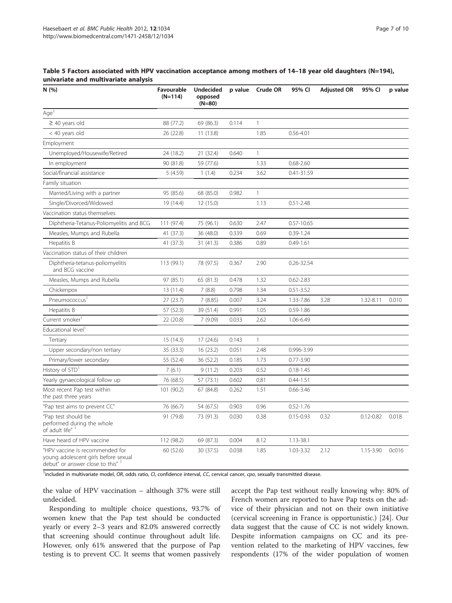| N(%)                                                                                                         | Favourable<br>$(N=114)$ | <b>Undecided</b><br>opposed<br>$(N=80)$ | p value | Crude OR     | 95% CI         | <b>Adjusted OR</b> | 95% CI        | p value |
|--------------------------------------------------------------------------------------------------------------|-------------------------|-----------------------------------------|---------|--------------|----------------|--------------------|---------------|---------|
| Age <sup>1</sup>                                                                                             |                         |                                         |         |              |                |                    |               |         |
| $\geq$ 40 years old                                                                                          | 88 (77.2)               | 69 (86.3)                               | 0.114   | $\mathbf{1}$ |                |                    |               |         |
| < 40 years old                                                                                               | 26 (22.8)               | 11(13.8)                                |         | 1.85         | $0.56 - 4.01$  |                    |               |         |
| Employment                                                                                                   |                         |                                         |         |              |                |                    |               |         |
| Unemployed/Housewife/Retired                                                                                 | 24 (18.2)               | 21 (32.4)                               | 0.640   | $\mathbf{1}$ |                |                    |               |         |
| In employment                                                                                                | 90 (81.8)               | 59 (77.6)                               |         | 1.33         | $0.68 - 2.60$  |                    |               |         |
| Social/financial assistance                                                                                  | 5(4.59)                 | 1(1.4)                                  | 0.234   | 3.62         | 0.41-31.59     |                    |               |         |
| Family situation                                                                                             |                         |                                         |         |              |                |                    |               |         |
| Married/Living with a partner                                                                                | 95 (85.6)               | 68 (85.0)                               | 0.982   | $\mathbf{1}$ |                |                    |               |         |
| Single/Divorced/Widowed                                                                                      | 19 (14.4)               | 12 (15.0)                               |         | 1.13         | $0.51 - 2.48$  |                    |               |         |
| Vaccination status themselves                                                                                |                         |                                         |         |              |                |                    |               |         |
| Diphtheria-Tetanus-Poliomyelitis and BCG                                                                     | 111 (97.4)              | 75 (96.1)                               | 0.630   | 2.47         | $0.57 - 10.65$ |                    |               |         |
| Measles, Mumps and Rubella                                                                                   | 41 (37.3)               | 36 (48.0)                               | 0.339   | 0.69         | $0.39 - 1.24$  |                    |               |         |
| Hepatitis B                                                                                                  | 41 (37.3)               | 31(41.3)                                | 0.386   | 0.89         | $0.49 - 1.61$  |                    |               |         |
| Vaccination status of their children                                                                         |                         |                                         |         |              |                |                    |               |         |
| Diphtheria-tetanus-poliomyelitis<br>and BCG vaccine                                                          | 113 (99.1)              | 78 (97.5)                               | 0.367   | 2.90         | 0.26-32.54     |                    |               |         |
| Measles, Mumps and Rubella                                                                                   | 97 (85.1)               | 65 (81.3)                               | 0.478   | 1.32         | $0.62 - 2.83$  |                    |               |         |
| Chickenpox                                                                                                   | 13 (11.4)               | 7(8.8)                                  | 0.798   | 1.34         | $0.51 - 3.52$  |                    |               |         |
| Pneumococcus <sup>1</sup>                                                                                    | 27(23.7)                | 7 (8.85)                                | 0.007   | 3.24         | 1.33-7.86      | 3.28               | 1.32-8.11     | 0.010   |
| Hepatitis B                                                                                                  | 57 (52.3)               | 39 (51.4)                               | 0.991   | 1.05         | $0.59 - 1.86$  |                    |               |         |
| Current smoker <sup>1</sup>                                                                                  | 22 (20.8)               | 7(9.09)                                 | 0.033   | 2.62         | 1.06-6.49      |                    |               |         |
| Educational level <sup>1</sup>                                                                               |                         |                                         |         |              |                |                    |               |         |
| Tertiary                                                                                                     | 15 (14.3)               | 17(24.6)                                | 0.143   | $\mathbf{1}$ |                |                    |               |         |
| Upper secondary/non tertiary                                                                                 | 35 (33.3)               | 16(23.2)                                | 0.051   | 2.48         | 0.996-3.99     |                    |               |         |
| Primary/lower secondary                                                                                      | 55 (52.4)               | 36 (52.2)                               | 0.185   | 1.73         | $0.77 - 3.90$  |                    |               |         |
| History of STD <sup>1</sup>                                                                                  | 7(6.1)                  | 9(11.2)                                 | 0.203   | 0.52         | $0.18 - 1.45$  |                    |               |         |
| Yearly gynaecological follow up                                                                              | 76 (68.5)               | 57 (73.1)                               | 0.602   | 0.81         | $0.44 - 1.51$  |                    |               |         |
| Most recent Pap test within<br>the past three years                                                          | 101 (90.2)              | 67 (84.8)                               | 0.262   | 1.51         | $0.66 - 3.46$  |                    |               |         |
| "Pap test aims to prevent CC"                                                                                | 76 (66.7)               | 54 (67.5)                               | 0.903   | 0.96         | $0.52 - 1.76$  |                    |               |         |
| "Pap test should be<br>performed during the whole<br>of adult life" 1                                        | 91 (79.8)               | 73 (91.3)                               | 0.030   | 0.38         | $0.15 - 0.93$  | 0.32               | $0.12 - 0.82$ | 0.018   |
| Have heard of HPV vaccine                                                                                    | 112 (98.2)              | 69 (87.3)                               | 0.004   | 8.12         | 1.13-38.1      |                    |               |         |
| "HPV vaccine is recommended for<br>young adolescent girls before sexual<br>debut" or answer close to this" 1 | 60 (52.6)               | 30 (37.5)                               | 0.038   | 1.85         | 1.03-3.32      | 2.12               | 1.15-3.90     | 0c016   |

<span id="page-6-0"></span>Table 5 Factors associated with HPV vaccination acceptance among mothers of 14–18 year old daughters (N=194), univariate and multivariate analysis

<sup>1</sup>included in multivariate model, OR, odds ratio, CI, confidence interval, CC, cervical cancer, cpo, sexually transmitted disease.

the value of HPV vaccination – although 37% were still undecided.

Responding to multiple choice questions, 93.7% of women knew that the Pap test should be conducted yearly or every 2–3 years and 82.0% answered correctly that screening should continue throughout adult life. However, only 61% answered that the purpose of Pap testing is to prevent CC. It seems that women passively

accept the Pap test without really knowing why: 80% of French women are reported to have Pap tests on the advice of their physician and not on their own initiative (cervical screening in France is opportunistic.) [\[24](#page-9-0)]. Our data suggest that the cause of CC is not widely known. Despite information campaigns on CC and its prevention related to the marketing of HPV vaccines, few respondents (17% of the wider population of women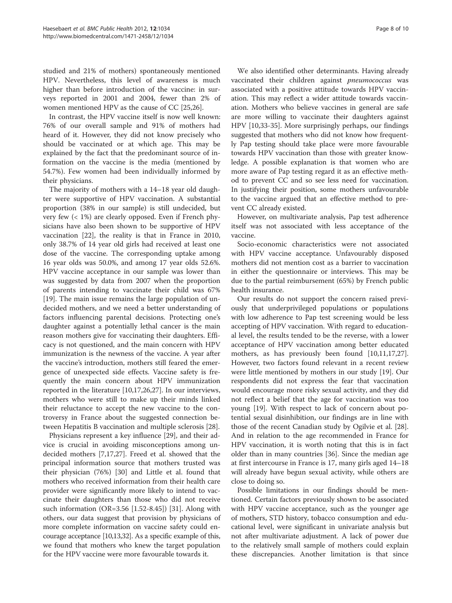studied and 21% of mothers) spontaneously mentioned HPV. Nevertheless, this level of awareness is much higher than before introduction of the vaccine: in surveys reported in 2001 and 2004, fewer than 2% of women mentioned HPV as the cause of CC [\[25,26](#page-9-0)].

In contrast, the HPV vaccine itself is now well known: 76% of our overall sample and 91% of mothers had heard of it. However, they did not know precisely who should be vaccinated or at which age. This may be explained by the fact that the predominant source of information on the vaccine is the media (mentioned by 54.7%). Few women had been individually informed by their physicians.

The majority of mothers with a 14–18 year old daughter were supportive of HPV vaccination. A substantial proportion (38% in our sample) is still undecided, but very few (< 1%) are clearly opposed. Even if French physicians have also been shown to be supportive of HPV vaccination [\[22\]](#page-9-0), the reality is that in France in 2010, only 38.7% of 14 year old girls had received at least one dose of the vaccine. The corresponding uptake among 16 year olds was 50.0%, and among 17 year olds 52.6%. HPV vaccine acceptance in our sample was lower than was suggested by data from 2007 when the proportion of parents intending to vaccinate their child was 67% [[19\]](#page-9-0). The main issue remains the large population of undecided mothers, and we need a better understanding of factors influencing parental decisions. Protecting one's daughter against a potentially lethal cancer is the main reason mothers give for vaccinating their daughters. Efficacy is not questioned, and the main concern with HPV immunization is the newness of the vaccine. A year after the vaccine's introduction, mothers still feared the emergence of unexpected side effects. Vaccine safety is frequently the main concern about HPV immunization reported in the literature [\[10,17,26,27\]](#page-9-0). In our interviews, mothers who were still to make up their minds linked their reluctance to accept the new vaccine to the controversy in France about the suggested connection between Hepatitis B vaccination and multiple sclerosis [[28](#page-9-0)].

Physicians represent a key influence [[29\]](#page-9-0), and their advice is crucial in avoiding misconceptions among undecided mothers [\[7,17,27\]](#page-9-0). Freed et al. showed that the principal information source that mothers trusted was their physician (76%) [[30\]](#page-9-0) and Little et al. found that mothers who received information from their health care provider were significantly more likely to intend to vaccinate their daughters than those who did not receive such information (OR=3.56 [1.52-8.45]) [\[31](#page-9-0)]. Along with others, our data suggest that provision by physicians of more complete information on vaccine safety could encourage acceptance [\[10,13,32](#page-9-0)]. As a specific example of this, we found that mothers who knew the target population for the HPV vaccine were more favourable towards it.

We also identified other determinants. Having already vaccinated their children against pneumococcus was associated with a positive attitude towards HPV vaccination. This may reflect a wider attitude towards vaccination. Mothers who believe vaccines in general are safe are more willing to vaccinate their daughters against HPV [\[10,33-35](#page-9-0)]. More surprisingly perhaps, our findings suggested that mothers who did not know how frequently Pap testing should take place were more favourable towards HPV vaccination than those with greater knowledge. A possible explanation is that women who are more aware of Pap testing regard it as an effective method to prevent CC and so see less need for vaccination. In justifying their position, some mothers unfavourable to the vaccine argued that an effective method to prevent CC already existed.

However, on multivariate analysis, Pap test adherence itself was not associated with less acceptance of the vaccine.

Socio-economic characteristics were not associated with HPV vaccine acceptance. Unfavourably disposed mothers did not mention cost as a barrier to vaccination in either the questionnaire or interviews. This may be due to the partial reimbursement (65%) by French public health insurance.

Our results do not support the concern raised previously that underprivileged populations or populations with low adherence to Pap test screening would be less accepting of HPV vaccination. With regard to educational level, the results tended to be the reverse, with a lower acceptance of HPV vaccination among better educated mothers, as has previously been found [[10](#page-9-0),[11,17,27](#page-9-0)]. However, two factors found relevant in a recent review were little mentioned by mothers in our study [\[19](#page-9-0)]. Our respondents did not express the fear that vaccination would encourage more risky sexual activity, and they did not reflect a belief that the age for vaccination was too young [\[19\]](#page-9-0). With respect to lack of concern about potential sexual disinhibition, our findings are in line with those of the recent Canadian study by Ogilvie et al. [\[28](#page-9-0)]. And in relation to the age recommended in France for HPV vaccination, it is worth noting that this is in fact older than in many countries [[36\]](#page-9-0). Since the median age at first intercourse in France is 17, many girls aged 14–18 will already have begun sexual activity, while others are close to doing so.

Possible limitations in our findings should be mentioned. Certain factors previously shown to be associated with HPV vaccine acceptance, such as the younger age of mothers, STD history, tobacco consumption and educational level, were significant in univariate analysis but not after multivariate adjustment. A lack of power due to the relatively small sample of mothers could explain these discrepancies. Another limitation is that since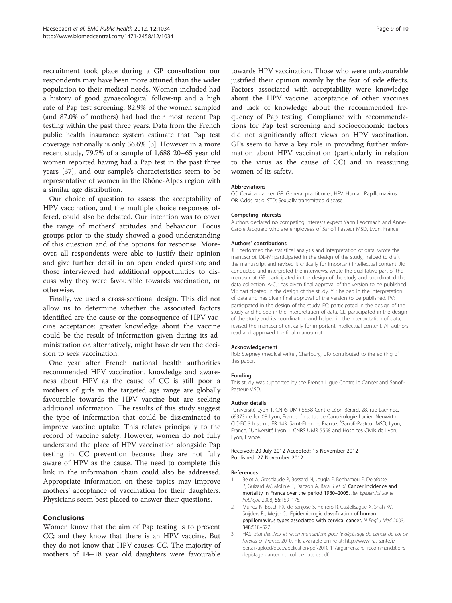<span id="page-8-0"></span>recruitment took place during a GP consultation our respondents may have been more attuned than the wider population to their medical needs. Women included had a history of good gynaecological follow-up and a high rate of Pap test screening: 82.9% of the women sampled (and 87.0% of mothers) had had their most recent Pap testing within the past three years. Data from the French public health insurance system estimate that Pap test coverage nationally is only 56.6% [3]. However in a more recent study, 79.7% of a sample of 1,688 20–65 year old women reported having had a Pap test in the past three years [[37\]](#page-9-0), and our sample's characteristics seem to be representative of women in the Rhône-Alpes region with a similar age distribution.

Our choice of question to assess the acceptability of HPV vaccination, and the multiple choice responses offered, could also be debated. Our intention was to cover the range of mothers' attitudes and behaviour. Focus groups prior to the study showed a good understanding of this question and of the options for response. Moreover, all respondents were able to justify their opinion and give further detail in an open ended question; and those interviewed had additional opportunities to discuss why they were favourable towards vaccination, or otherwise.

Finally, we used a cross-sectional design. This did not allow us to determine whether the associated factors identified are the cause or the consequence of HPV vaccine acceptance: greater knowledge about the vaccine could be the result of information given during its administration or, alternatively, might have driven the decision to seek vaccination.

One year after French national health authorities recommended HPV vaccination, knowledge and awareness about HPV as the cause of CC is still poor a mothers of girls in the targeted age range are globally favourable towards the HPV vaccine but are seeking additional information. The results of this study suggest the type of information that could be disseminated to improve vaccine uptake. This relates principally to the record of vaccine safety. However, women do not fully understand the place of HPV vaccination alongside Pap testing in CC prevention because they are not fully aware of HPV as the cause. The need to complete this link in the information chain could also be addressed. Appropriate information on these topics may improve mothers' acceptance of vaccination for their daughters. Physicians seem best placed to answer their questions.

## Conclusions

Women know that the aim of Pap testing is to prevent CC; and they know that there is an HPV vaccine. But they do not know that HPV causes CC. The majority of mothers of 14–18 year old daughters were favourable towards HPV vaccination. Those who were unfavourable justified their opinion mainly by the fear of side effects. Factors associated with acceptability were knowledge about the HPV vaccine, acceptance of other vaccines and lack of knowledge about the recommended frequency of Pap testing. Compliance with recommendations for Pap test screening and socioeconomic factors did not significantly affect views on HPV vaccination. GPs seem to have a key role in providing further information about HPV vaccination (particularly in relation to the virus as the cause of CC) and in reassuring women of its safety.

#### Abbreviations

CC: Cervical cancer; GP: General practitioner; HPV: Human Papillomavirus; OR: Odds ratio; STD: Sexually transmitted disease.

#### Competing interests

Authors declared no competing interests expect Yann Leocmach and Anne-Carole Jacquard who are employees of Sanofi Pasteur MSD, Lyon, France.

#### Authors' contributions

JH: performed the statistical analysis and interpretation of data, wrote the manuscript. DL-M: participated in the design of the study, helped to draft the manuscript and revised it critically for important intellectual content. JK: conducted and interpreted the interviews, wrote the qualitative part of the manuscript. GB: participated in the design of the study and coordinated the data collection. A-CJ: has given final approval of the version to be published. VR: participated in the design of the study. YL: helped in the interpretation of data and has given final approval of the version to be published. PV: participated in the design of the study. FC: participated in the design of the study and helped in the interpretation of data. CL: participated in the design of the study and its coordination and helped in the interpretation of data; revised the manuscript critically for important intellectual content. All authors read and approved the final manuscript.

#### Acknowledgement

Rob Stepney (medical writer, Charlbury, UK) contributed to the editing of this paper.

#### Funding

This study was supported by the French Ligue Contre le Cancer and Sanofi-Pasteur-MSD.

#### Author details

<sup>1</sup>Université Lyon 1, CNRS UMR 5558 Centre Léon Bérard, 28, rue Laënnec 69373 cedex 08 Lyon, France. <sup>2</sup>Institut de Cancérologie Lucien Neuwirth CIC-EC 3 Inserm, IFR 143, Saint-Etienne, France. <sup>3</sup>Sanofi-Pasteur MSD, Lyon, France. <sup>4</sup>Université Lyon 1, CNRS UMR 5558 and Hospices Civils de Lyon Lyon, France.

#### Received: 20 July 2012 Accepted: 15 November 2012 Published: 27 November 2012

#### References

- Belot A, Grosclaude P, Bossard N, Jougla E, Benhamou E, Delafosse P, Guizard AV, Molinie F, Danzon A, Bara S, et al: Cancer incidence and mortality in France over the period 1980–2005. Rev Epidemiol Sante Publique 2008, 56:159–175.
- 2. Munoz N, Bosch FX, de Sanjose S, Herrero R, Castellsague X, Shah KV, Snijders PJ, Meijer CJ: Epidemiologic classification of human papillomavirus types associated with cervical cancer. N Engl J Med 2003, 348:518–527.
- 3. HAS: Etat des lieux et recommandations pour le dépistage du cancer du col de l'utérus en France. 2010. File available online at: [http://www.has-sante.fr/](http://www.has-sante.fr/portail/upload/docs/application/pdf/2010-11/argumentaire_recommandations_depistage_cancer_du_col_de_luterus.pdf) [portail/upload/docs/application/pdf/2010-11/argumentaire\\_recommandations\\_](http://www.has-sante.fr/portail/upload/docs/application/pdf/2010-11/argumentaire_recommandations_depistage_cancer_du_col_de_luterus.pdf) [depistage\\_cancer\\_du\\_col\\_de\\_luterus.pdf.](http://www.has-sante.fr/portail/upload/docs/application/pdf/2010-11/argumentaire_recommandations_depistage_cancer_du_col_de_luterus.pdf)